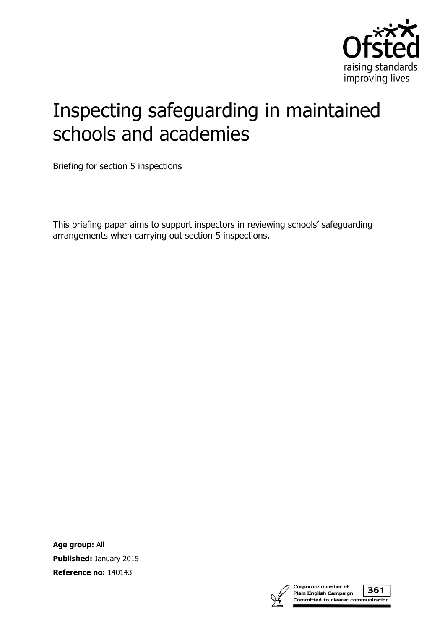

# Inspecting safeguarding in maintained schools and academies

Briefing for section 5 inspections

This briefing paper aims to support inspectors in reviewing schools' safeguarding arrangements when carrying out section 5 inspections.

**Age group:** All

**Published:** January 2015

**Reference no:** 140143



361 Plain English Campaign Committed to clearer communication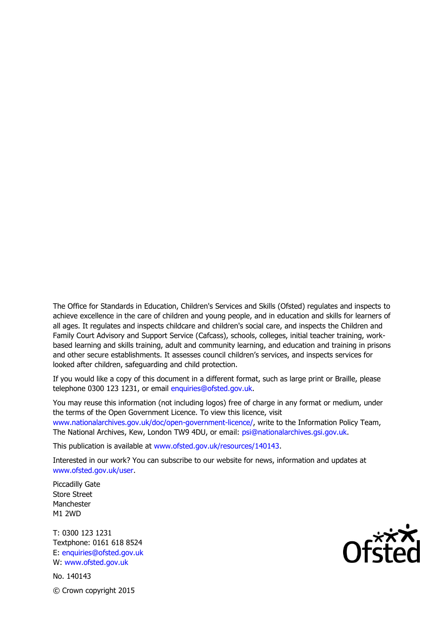The Office for Standards in Education, Children's Services and Skills (Ofsted) regulates and inspects to achieve excellence in the care of children and young people, and in education and skills for learners of all ages. It regulates and inspects childcare and children's social care, and inspects the Children and Family Court Advisory and Support Service (Cafcass), schools, colleges, initial teacher training, workbased learning and skills training, adult and community learning, and education and training in prisons and other secure establishments. It assesses council children's services, and inspects services for looked after children, safeguarding and child protection.

If you would like a copy of this document in a different format, such as large print or Braille, please telephone 0300 123 1231, or email enquiries@ofsted.gov.uk.

You may reuse this information (not including logos) free of charge in any format or medium, under the terms of the Open Government Licence. To view this licence, visit [www.nationalarchives.gov.uk/doc/open-government-licence/,](http://www.nationalarchives.gov.uk/doc/open-government-licence/) write to the Information Policy Team, The National Archives, Kew, London TW9 4DU, or email: [psi@nationalarchives.gsi.gov.uk.](mailto:psi@nationalarchives.gsi.gov.uk)

This publication is available at [www.ofsted.gov.uk/resources/140143.](http://www.ofsted.gov.uk/resources/140143)

Interested in our work? You can subscribe to our website for news, information and updates at [www.ofsted.gov.uk/user.](http://ofstedintranet/SiteCollectionDocuments/Our__Work/SupportingOurWork/Communications/www.ofsted.gov.uk/user)

Piccadilly Gate Store Street Manchester M1 2WD

T: 0300 123 1231 Textphone: 0161 618 8524 E: enquiries@ofsted.gov.uk W: [www.ofsted.gov.uk](http://www.ofsted.gov.uk/)

No. 140143 © Crown copyright 2015

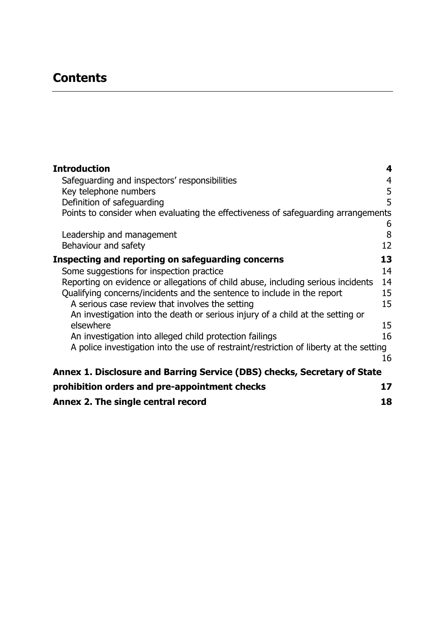# **Contents**

| <b>Introduction</b>                                                                    | 4  |
|----------------------------------------------------------------------------------------|----|
| Safeguarding and inspectors' responsibilities                                          | 4  |
| Key telephone numbers                                                                  | 5  |
| Definition of safeguarding                                                             | 5  |
| Points to consider when evaluating the effectiveness of safeguarding arrangements      |    |
|                                                                                        | 6  |
| Leadership and management                                                              | 8  |
| Behaviour and safety                                                                   | 12 |
| Inspecting and reporting on safeguarding concerns                                      | 13 |
| Some suggestions for inspection practice                                               | 14 |
| Reporting on evidence or allegations of child abuse, including serious incidents       | 14 |
| Qualifying concerns/incidents and the sentence to include in the report                | 15 |
| A serious case review that involves the setting                                        | 15 |
| An investigation into the death or serious injury of a child at the setting or         |    |
| elsewhere                                                                              | 15 |
| An investigation into alleged child protection failings                                | 16 |
| A police investigation into the use of restraint/restriction of liberty at the setting |    |
|                                                                                        | 16 |
| Annex 1. Disclosure and Barring Service (DBS) checks, Secretary of State               |    |
| prohibition orders and pre-appointment checks                                          | 17 |
| Annex 2. The single central record                                                     | 18 |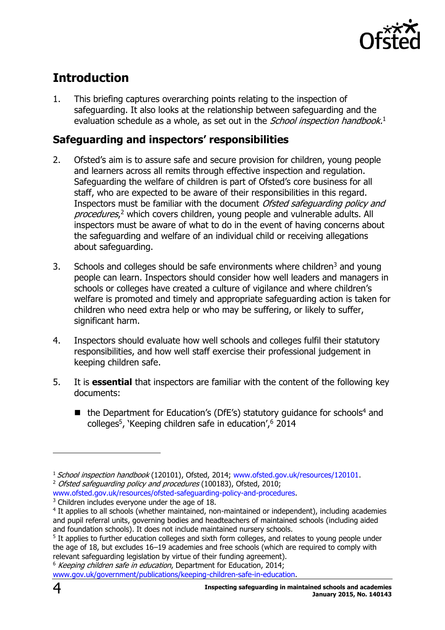

# <span id="page-3-0"></span>**Introduction**

1. This briefing captures overarching points relating to the inspection of safeguarding. It also looks at the relationship between safeguarding and the evaluation schedule as a whole, as set out in the School inspection handbook.<sup>1</sup>

## <span id="page-3-1"></span>**Safeguarding and inspectors' responsibilities**

- 2. Ofsted's aim is to assure safe and secure provision for children, young people and learners across all remits through effective inspection and regulation. Safeguarding the welfare of children is part of Ofsted's core business for all staff, who are expected to be aware of their responsibilities in this regard. Inspectors must be familiar with the document Ofsted safequarding policy and procedures,<sup>2</sup> which covers children, young people and vulnerable adults. All inspectors must be aware of what to do in the event of having concerns about the safeguarding and welfare of an individual child or receiving allegations about safeguarding.
- 3. Schools and colleges should be safe environments where children<sup>3</sup> and young people can learn. Inspectors should consider how well leaders and managers in schools or colleges have created a culture of vigilance and where children's welfare is promoted and timely and appropriate safeguarding action is taken for children who need extra help or who may be suffering, or likely to suffer, significant harm.
- 4. Inspectors should evaluate how well schools and colleges fulfil their statutory responsibilities, and how well staff exercise their professional judgement in keeping children safe.
- 5. It is **essential** that inspectors are familiar with the content of the following key documents:
	- $\blacksquare$  the Department for Education's (DfE's) statutory guidance for schools<sup>4</sup> and colleges<sup>5</sup>, 'Keeping children safe in education',<sup>6</sup> 2014

<sup>&</sup>lt;sup>1</sup> School inspection handbook (120101), Ofsted, 2014; [www.ofsted.gov.uk/resources/120101.](http://www.ofsted.gov.uk/resources/120101) <sup>2</sup> Ofsted safeguarding policy and procedures (100183), Ofsted, 2010;

[www.ofsted.gov.uk/resources/ofsted-safeguarding-policy-and-procedures.](http://www.ofsted.gov.uk/resources/ofsted-safeguarding-policy-and-procedures)

<sup>&</sup>lt;sup>3</sup> Children includes everyone under the age of 18.

<sup>4</sup> It applies to all schools (whether maintained, non-maintained or independent), including academies and pupil referral units, governing bodies and headteachers of maintained schools (including aided and foundation schools). It does not include maintained nursery schools.

<sup>&</sup>lt;sup>5</sup> It applies to further education colleges and sixth form colleges, and relates to young people under the age of 18, but excludes 16–19 academies and free schools (which are required to comply with relevant safeguarding legislation by virtue of their funding agreement).

<sup>&</sup>lt;sup>6</sup> Keeping children safe in education, Department for Education, 2014; [www.gov.uk/government/publications/keeping-children-safe-in-education.](http://www.gov.uk/government/publications/keeping-children-safe-in-education)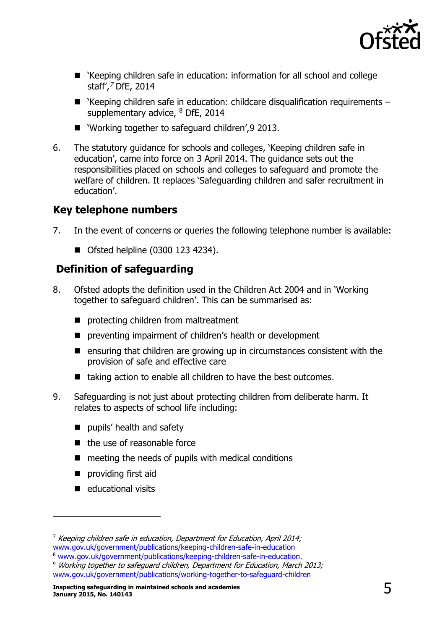

- 'Keeping children safe in education: information for all school and college staff', $<sup>7</sup>$  DfE, 2014</sup>
- $\blacksquare$  'Keeping children safe in education: childcare disqualification requirements supplementary advice, <sup>8</sup> DfE, 2014
- 'Working together to safeguard children', 9 2013.
- 6. The statutory guidance for schools and colleges, 'Keeping children safe in education', came into force on 3 April 2014. The guidance sets out the responsibilities placed on schools and colleges to safeguard and promote the welfare of children. It replaces 'Safeguarding children and safer recruitment in education'.

## <span id="page-4-0"></span>**Key telephone numbers**

- 7. In the event of concerns or queries the following telephone number is available:
	- Ofsted helpline (0300 123 4234).

## <span id="page-4-1"></span>**Definition of safeguarding**

- 8. Ofsted adopts the definition used in the Children Act 2004 and in 'Working together to safeguard children'. This can be summarised as:
	- protecting children from maltreatment
	- **P** preventing impairment of children's health or development
	- $\blacksquare$  ensuring that children are growing up in circumstances consistent with the provision of safe and effective care
	- taking action to enable all children to have the best outcomes.
- 9. Safeguarding is not just about protecting children from deliberate harm. It relates to aspects of school life including:
	- pupils' health and safety
	- $\blacksquare$  the use of reasonable force
	- $\blacksquare$  meeting the needs of pupils with medical conditions
	- **providing first aid**
	- $\blacksquare$  educational visits

 $7$  Keeping children safe in education, Department for Education, April 2014; [www.gov.uk/government/publications/keeping-children-safe-in-education](http://www.gov.uk/government/publications/keeping-children-safe-in-education) <sup>8</sup> [www.gov.uk/government/publications/keeping-children-safe-in-education.](http://www.gov.uk/government/publications/keeping-children-safe-in-education) <sup>9</sup> Working together to safeguard children, Department for Education, March 2013; [www.gov.uk/government/publications/working-together-to-safeguard-children](http://www.gov.uk/government/publications/working-together-to-safeguard-children)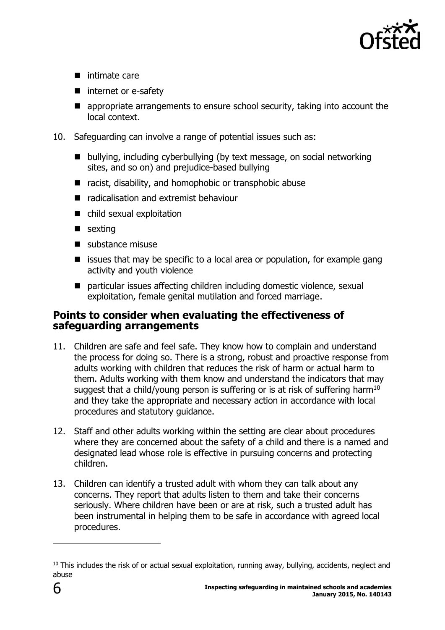

- **n** intimate care
- internet or e-safety
- **E** appropriate arrangements to ensure school security, taking into account the local context.
- 10. Safeguarding can involve a range of potential issues such as:
	- bullying, including cyberbullying (by text message, on social networking sites, and so on) and prejudice-based bullying
	- racist, disability, and homophobic or transphobic abuse
	- radicalisation and extremist behaviour
	- child sexual exploitation
	- **sexting**
	- substance misuse
	- $\blacksquare$  issues that may be specific to a local area or population, for example gang activity and youth violence
	- particular issues affecting children including domestic violence, sexual exploitation, female genital mutilation and forced marriage.

## <span id="page-5-0"></span>**Points to consider when evaluating the effectiveness of safeguarding arrangements**

- 11. Children are safe and feel safe. They know how to complain and understand the process for doing so. There is a strong, robust and proactive response from adults working with children that reduces the risk of harm or actual harm to them. Adults working with them know and understand the indicators that may suggest that a child/young person is suffering or is at risk of suffering harm<sup>10</sup> and they take the appropriate and necessary action in accordance with local procedures and statutory guidance.
- 12. Staff and other adults working within the setting are clear about procedures where they are concerned about the safety of a child and there is a named and designated lead whose role is effective in pursuing concerns and protecting children.
- 13. Children can identify a trusted adult with whom they can talk about any concerns. They report that adults listen to them and take their concerns seriously. Where children have been or are at risk, such a trusted adult has been instrumental in helping them to be safe in accordance with agreed local procedures.

<sup>&</sup>lt;sup>10</sup> This includes the risk of or actual sexual exploitation, running away, bullying, accidents, neglect and abuse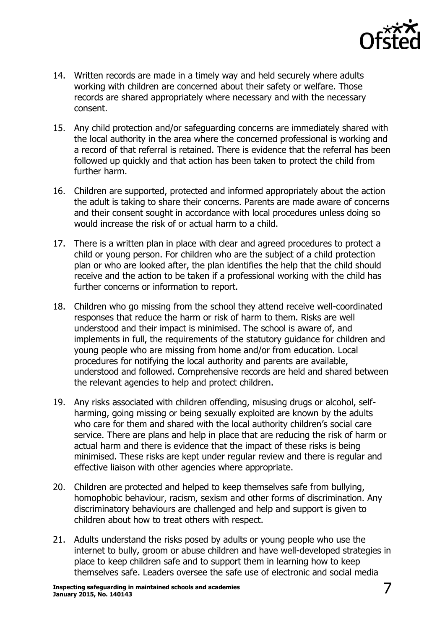

- 14. Written records are made in a timely way and held securely where adults working with children are concerned about their safety or welfare. Those records are shared appropriately where necessary and with the necessary consent.
- 15. Any child protection and/or safeguarding concerns are immediately shared with the local authority in the area where the concerned professional is working and a record of that referral is retained. There is evidence that the referral has been followed up quickly and that action has been taken to protect the child from further harm.
- 16. Children are supported, protected and informed appropriately about the action the adult is taking to share their concerns. Parents are made aware of concerns and their consent sought in accordance with local procedures unless doing so would increase the risk of or actual harm to a child.
- 17. There is a written plan in place with clear and agreed procedures to protect a child or young person. For children who are the subject of a child protection plan or who are looked after, the plan identifies the help that the child should receive and the action to be taken if a professional working with the child has further concerns or information to report.
- 18. Children who go missing from the school they attend receive well-coordinated responses that reduce the harm or risk of harm to them. Risks are well understood and their impact is minimised. The school is aware of, and implements in full, the requirements of the statutory guidance for children and young people who are missing from home and/or from education. Local procedures for notifying the local authority and parents are available, understood and followed. Comprehensive records are held and shared between the relevant agencies to help and protect children.
- 19. Any risks associated with children offending, misusing drugs or alcohol, selfharming, going missing or being sexually exploited are known by the adults who care for them and shared with the local authority children's social care service. There are plans and help in place that are reducing the risk of harm or actual harm and there is evidence that the impact of these risks is being minimised. These risks are kept under regular review and there is regular and effective liaison with other agencies where appropriate.
- 20. Children are protected and helped to keep themselves safe from bullying, homophobic behaviour, racism, sexism and other forms of discrimination. Any discriminatory behaviours are challenged and help and support is given to children about how to treat others with respect.
- 21. Adults understand the risks posed by adults or young people who use the internet to bully, groom or abuse children and have well-developed strategies in place to keep children safe and to support them in learning how to keep themselves safe. Leaders oversee the safe use of electronic and social media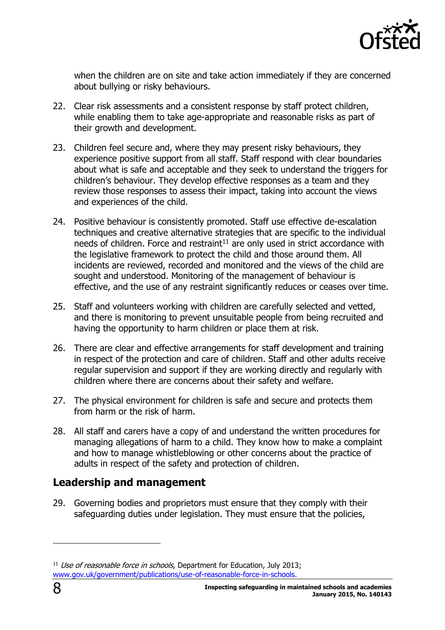

when the children are on site and take action immediately if they are concerned about bullying or risky behaviours.

- 22. Clear risk assessments and a consistent response by staff protect children, while enabling them to take age-appropriate and reasonable risks as part of their growth and development.
- 23. Children feel secure and, where they may present risky behaviours, they experience positive support from all staff. Staff respond with clear boundaries about what is safe and acceptable and they seek to understand the triggers for children's behaviour. They develop effective responses as a team and they review those responses to assess their impact, taking into account the views and experiences of the child.
- 24. Positive behaviour is consistently promoted. Staff use effective de-escalation techniques and creative alternative strategies that are specific to the individual needs of children. Force and restraint<sup>11</sup> are only used in strict accordance with the legislative framework to protect the child and those around them. All incidents are reviewed, recorded and monitored and the views of the child are sought and understood. Monitoring of the management of behaviour is effective, and the use of any restraint significantly reduces or ceases over time.
- 25. Staff and volunteers working with children are carefully selected and vetted, and there is monitoring to prevent unsuitable people from being recruited and having the opportunity to harm children or place them at risk.
- 26. There are clear and effective arrangements for staff development and training in respect of the protection and care of children. Staff and other adults receive regular supervision and support if they are working directly and regularly with children where there are concerns about their safety and welfare.
- 27. The physical environment for children is safe and secure and protects them from harm or the risk of harm.
- 28. All staff and carers have a copy of and understand the written procedures for managing allegations of harm to a child. They know how to make a complaint and how to manage whistleblowing or other concerns about the practice of adults in respect of the safety and protection of children.

## <span id="page-7-0"></span>**Leadership and management**

29. Governing bodies and proprietors must ensure that they comply with their safeguarding duties under legislation. They must ensure that the policies,

 $11$  Use of reasonable force in schools, Department for Education, July 2013; [www.gov.uk/government/publications/use-of-reasonable-force-in-schools.](http://www.gov.uk/government/publications/use-of-reasonable-force-in-schools)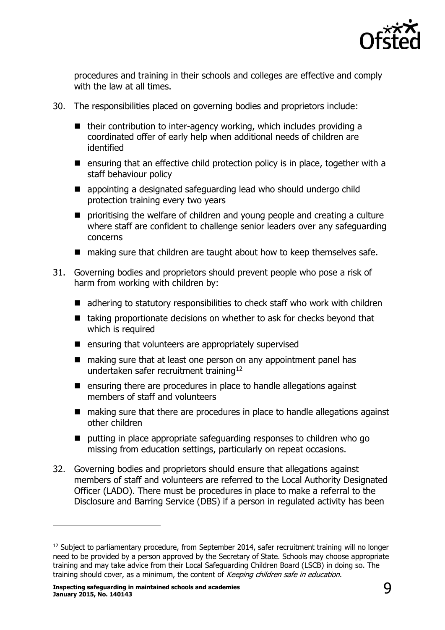

procedures and training in their schools and colleges are effective and comply with the law at all times.

- 30. The responsibilities placed on governing bodies and proprietors include:
	- $\blacksquare$  their contribution to inter-agency working, which includes providing a coordinated offer of early help when additional needs of children are identified
	- **E** ensuring that an effective child protection policy is in place, together with a staff behaviour policy
	- **E** appointing a designated safeguarding lead who should undergo child protection training every two years
	- **P** prioritising the welfare of children and young people and creating a culture where staff are confident to challenge senior leaders over any safeguarding concerns
	- making sure that children are taught about how to keep themselves safe.
- 31. Governing bodies and proprietors should prevent people who pose a risk of harm from working with children by:
	- adhering to statutory responsibilities to check staff who work with children
	- taking proportionate decisions on whether to ask for checks beyond that which is required
	- $\blacksquare$  ensuring that volunteers are appropriately supervised
	- making sure that at least one person on any appointment panel has undertaken safer recruitment training<sup>12</sup>
	- $\blacksquare$  ensuring there are procedures in place to handle allegations against members of staff and volunteers
	- making sure that there are procedures in place to handle allegations against other children
	- putting in place appropriate safeguarding responses to children who go missing from education settings, particularly on repeat occasions.
- 32. Governing bodies and proprietors should ensure that allegations against members of staff and volunteers are referred to the Local Authority Designated Officer (LADO). There must be procedures in place to make a referral to the Disclosure and Barring Service (DBS) if a person in regulated activity has been

<sup>&</sup>lt;sup>12</sup> Subject to parliamentary procedure, from September 2014, safer recruitment training will no longer need to be provided by a person approved by the Secretary of State. Schools may choose appropriate training and may take advice from their Local Safeguarding Children Board (LSCB) in doing so. The training should cover, as a minimum, the content of Keeping children safe in education.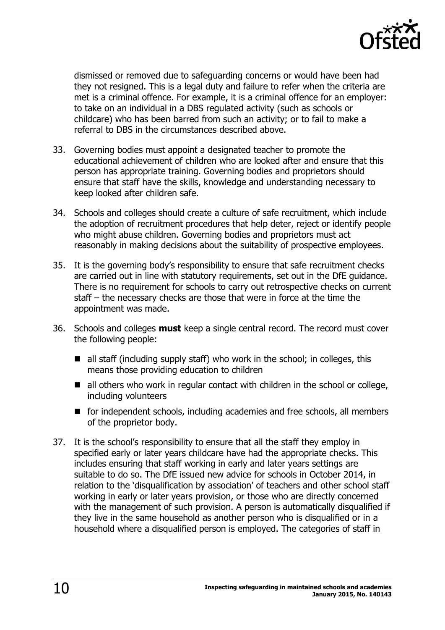

dismissed or removed due to safeguarding concerns or would have been had they not resigned. This is a legal duty and failure to refer when the criteria are met is a criminal offence. For example, it is a criminal offence for an employer: to take on an individual in a DBS regulated activity (such as schools or childcare) who has been barred from such an activity; or to fail to make a referral to DBS in the circumstances described above.

- 33. Governing bodies must appoint a designated teacher to promote the educational achievement of children who are looked after and ensure that this person has appropriate training. Governing bodies and proprietors should ensure that staff have the skills, knowledge and understanding necessary to keep looked after children safe.
- 34. Schools and colleges should create a culture of safe recruitment, which include the adoption of recruitment procedures that help deter, reject or identify people who might abuse children. Governing bodies and proprietors must act reasonably in making decisions about the suitability of prospective employees.
- 35. It is the governing body's responsibility to ensure that safe recruitment checks are carried out in line with statutory requirements, set out in the DfE guidance. There is no requirement for schools to carry out retrospective checks on current staff – the necessary checks are those that were in force at the time the appointment was made.
- 36. Schools and colleges **must** keep a single central record. The record must cover the following people:
	- $\blacksquare$  all staff (including supply staff) who work in the school; in colleges, this means those providing education to children
	- all others who work in regular contact with children in the school or college, including volunteers
	- for independent schools, including academies and free schools, all members of the proprietor body.
- 37. It is the school's responsibility to ensure that all the staff they employ in specified early or later years childcare have had the appropriate checks. This includes ensuring that staff working in early and later years settings are suitable to do so. The DfE issued new advice for schools in October 2014, in relation to the 'disqualification by association' of teachers and other school staff working in early or later years provision, or those who are directly concerned with the management of such provision. A person is automatically disqualified if they live in the same household as another person who is disqualified or in a household where a disqualified person is employed. The categories of staff in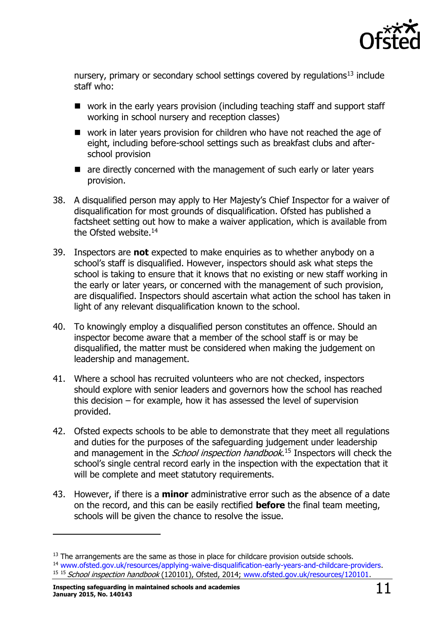

nursery, primary or secondary school settings covered by regulations<sup>13</sup> include staff who:

- work in the early years provision (including teaching staff and support staff working in school nursery and reception classes)
- work in later years provision for children who have not reached the age of eight, including before-school settings such as breakfast clubs and afterschool provision
- $\blacksquare$  are directly concerned with the management of such early or later years provision.
- 38. A disqualified person may apply to Her Majesty's Chief Inspector for a waiver of disqualification for most grounds of disqualification. Ofsted has published a factsheet setting out how to make a waiver application, which is available from the Ofsted website. 14
- 39. Inspectors are **not** expected to make enquiries as to whether anybody on a school's staff is disqualified. However, inspectors should ask what steps the school is taking to ensure that it knows that no existing or new staff working in the early or later years, or concerned with the management of such provision, are disqualified. Inspectors should ascertain what action the school has taken in light of any relevant disqualification known to the school.
- 40. To knowingly employ a disqualified person constitutes an offence. Should an inspector become aware that a member of the school staff is or may be disqualified, the matter must be considered when making the judgement on leadership and management.
- 41. Where a school has recruited volunteers who are not checked, inspectors should explore with senior leaders and governors how the school has reached this decision – for example, how it has assessed the level of supervision provided.
- 42. Ofsted expects schools to be able to demonstrate that they meet all regulations and duties for the purposes of the safeguarding judgement under leadership and management in the *School inspection handbook*.<sup>15</sup> Inspectors will check the school's single central record early in the inspection with the expectation that it will be complete and meet statutory requirements.
- 43. However, if there is a **minor** administrative error such as the absence of a date on the record, and this can be easily rectified **before** the final team meeting, schools will be given the chance to resolve the issue.

 $<sup>13</sup>$  The arrangements are the same as those in place for childcare provision outside schools.</sup>

<sup>&</sup>lt;sup>14</sup> [www.ofsted.gov.uk/resources/applying-waive-disqualification-early-years-and-childcare-providers.](http://www.ofsted.gov.uk/resources/applying-waive-disqualification-early-years-and-childcare-providers) <sup>15 15</sup> School inspection handbook (120101), Ofsted, 2014; [www.ofsted.gov.uk/resources/120101.](http://www.ofsted.gov.uk/resources/120101)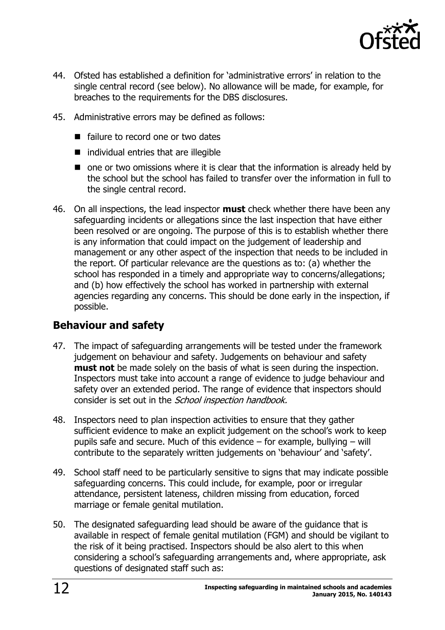

- 44. Ofsted has established a definition for 'administrative errors' in relation to the single central record (see below). No allowance will be made, for example, for breaches to the requirements for the DBS disclosures.
- 45. Administrative errors may be defined as follows:
	- **F** failure to record one or two dates
	- $\blacksquare$  individual entries that are illegible
	- $\blacksquare$  one or two omissions where it is clear that the information is already held by the school but the school has failed to transfer over the information in full to the single central record.
- 46. On all inspections, the lead inspector **must** check whether there have been any safeguarding incidents or allegations since the last inspection that have either been resolved or are ongoing. The purpose of this is to establish whether there is any information that could impact on the judgement of leadership and management or any other aspect of the inspection that needs to be included in the report. Of particular relevance are the questions as to: (a) whether the school has responded in a timely and appropriate way to concerns/allegations; and (b) how effectively the school has worked in partnership with external agencies regarding any concerns. This should be done early in the inspection, if possible.

## <span id="page-11-0"></span>**Behaviour and safety**

- 47. The impact of safeguarding arrangements will be tested under the framework judgement on behaviour and safety. Judgements on behaviour and safety **must not** be made solely on the basis of what is seen during the inspection. Inspectors must take into account a range of evidence to judge behaviour and safety over an extended period. The range of evidence that inspectors should consider is set out in the *School inspection handbook*.
- 48. Inspectors need to plan inspection activities to ensure that they gather sufficient evidence to make an explicit judgement on the school's work to keep pupils safe and secure. Much of this evidence – for example, bullying – will contribute to the separately written judgements on 'behaviour' and 'safety'.
- 49. School staff need to be particularly sensitive to signs that may indicate possible safeguarding concerns. This could include, for example, poor or irregular attendance, persistent lateness, children missing from education, forced marriage or female genital mutilation.
- 50. The designated safeguarding lead should be aware of the guidance that is available in respect of female genital mutilation (FGM) and should be vigilant to the risk of it being practised. Inspectors should be also alert to this when considering a school's safeguarding arrangements and, where appropriate, ask questions of designated staff such as: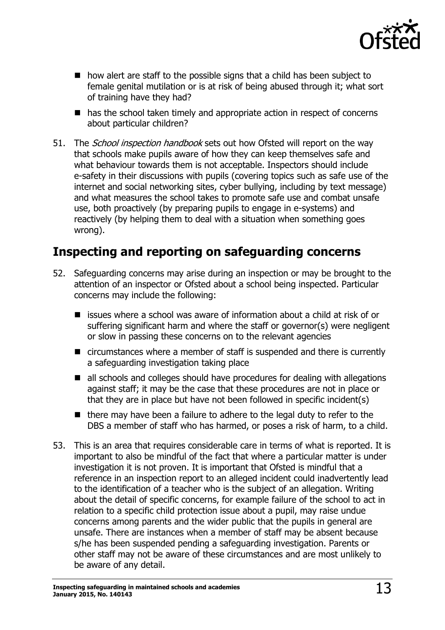

- how alert are staff to the possible signs that a child has been subiect to female genital mutilation or is at risk of being abused through it; what sort of training have they had?
- has the school taken timely and appropriate action in respect of concerns about particular children?
- 51. The *School inspection handbook* sets out how Ofsted will report on the way that schools make pupils aware of how they can keep themselves safe and what behaviour towards them is not acceptable. Inspectors should include e-safety in their discussions with pupils (covering topics such as safe use of the internet and social networking sites, cyber bullying, including by text message) and what measures the school takes to promote safe use and combat unsafe use, both proactively (by preparing pupils to engage in e-systems) and reactively (by helping them to deal with a situation when something goes wrong).

# <span id="page-12-0"></span>**Inspecting and reporting on safeguarding concerns**

- 52. Safeguarding concerns may arise during an inspection or may be brought to the attention of an inspector or Ofsted about a school being inspected. Particular concerns may include the following:
	- issues where a school was aware of information about a child at risk of or suffering significant harm and where the staff or governor(s) were negligent or slow in passing these concerns on to the relevant agencies
	- circumstances where a member of staff is suspended and there is currently a safeguarding investigation taking place
	- all schools and colleges should have procedures for dealing with allegations against staff; it may be the case that these procedures are not in place or that they are in place but have not been followed in specific incident(s)
	- there may have been a failure to adhere to the legal duty to refer to the DBS a member of staff who has harmed, or poses a risk of harm, to a child.
- 53. This is an area that requires considerable care in terms of what is reported. It is important to also be mindful of the fact that where a particular matter is under investigation it is not proven. It is important that Ofsted is mindful that a reference in an inspection report to an alleged incident could inadvertently lead to the identification of a teacher who is the subject of an allegation. Writing about the detail of specific concerns, for example failure of the school to act in relation to a specific child protection issue about a pupil, may raise undue concerns among parents and the wider public that the pupils in general are unsafe. There are instances when a member of staff may be absent because s/he has been suspended pending a safeguarding investigation. Parents or other staff may not be aware of these circumstances and are most unlikely to be aware of any detail.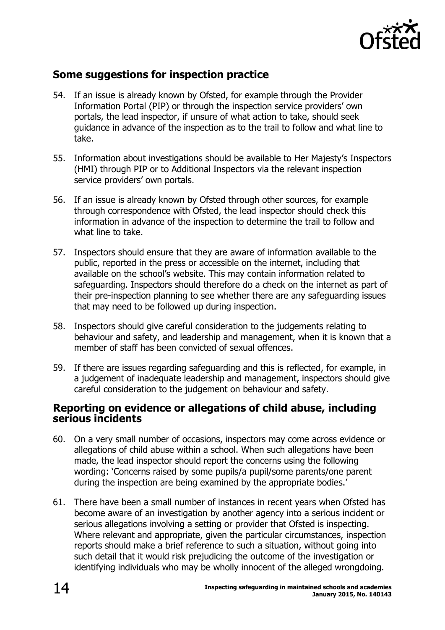

## <span id="page-13-0"></span>**Some suggestions for inspection practice**

- 54. If an issue is already known by Ofsted, for example through the Provider Information Portal (PIP) or through the inspection service providers' own portals, the lead inspector, if unsure of what action to take, should seek guidance in advance of the inspection as to the trail to follow and what line to take.
- 55. Information about investigations should be available to Her Majesty's Inspectors (HMI) through PIP or to Additional Inspectors via the relevant inspection service providers' own portals.
- 56. If an issue is already known by Ofsted through other sources, for example through correspondence with Ofsted, the lead inspector should check this information in advance of the inspection to determine the trail to follow and what line to take.
- 57. Inspectors should ensure that they are aware of information available to the public, reported in the press or accessible on the internet, including that available on the school's website. This may contain information related to safeguarding. Inspectors should therefore do a check on the internet as part of their pre-inspection planning to see whether there are any safeguarding issues that may need to be followed up during inspection.
- 58. Inspectors should give careful consideration to the judgements relating to behaviour and safety, and leadership and management, when it is known that a member of staff has been convicted of sexual offences.
- 59. If there are issues regarding safeguarding and this is reflected, for example, in a judgement of inadequate leadership and management, inspectors should give careful consideration to the judgement on behaviour and safety.

## <span id="page-13-1"></span>**Reporting on evidence or allegations of child abuse, including serious incidents**

- 60. On a very small number of occasions, inspectors may come across evidence or allegations of child abuse within a school. When such allegations have been made, the lead inspector should report the concerns using the following wording: 'Concerns raised by some pupils/a pupil/some parents/one parent during the inspection are being examined by the appropriate bodies.'
- 61. There have been a small number of instances in recent years when Ofsted has become aware of an investigation by another agency into a serious incident or serious allegations involving a setting or provider that Ofsted is inspecting. Where relevant and appropriate, given the particular circumstances, inspection reports should make a brief reference to such a situation, without going into such detail that it would risk prejudicing the outcome of the investigation or identifying individuals who may be wholly innocent of the alleged wrongdoing.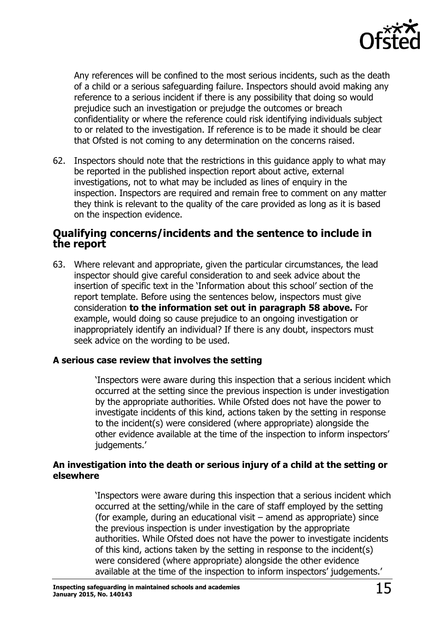

Any references will be confined to the most serious incidents, such as the death of a child or a serious safeguarding failure. Inspectors should avoid making any reference to a serious incident if there is any possibility that doing so would prejudice such an investigation or prejudge the outcomes or breach confidentiality or where the reference could risk identifying individuals subject to or related to the investigation. If reference is to be made it should be clear that Ofsted is not coming to any determination on the concerns raised.

62. Inspectors should note that the restrictions in this guidance apply to what may be reported in the published inspection report about active, external investigations, not to what may be included as lines of enquiry in the inspection. Inspectors are required and remain free to comment on any matter they think is relevant to the quality of the care provided as long as it is based on the inspection evidence.

#### <span id="page-14-0"></span>**Qualifying concerns/incidents and the sentence to include in the report**

63. Where relevant and appropriate, given the particular circumstances, the lead inspector should give careful consideration to and seek advice about the insertion of specific text in the 'Information about this school' section of the report template. Before using the sentences below, inspectors must give consideration **to the information set out in paragraph 58 above.** For example, would doing so cause prejudice to an ongoing investigation or inappropriately identify an individual? If there is any doubt, inspectors must seek advice on the wording to be used.

#### <span id="page-14-1"></span>**A serious case review that involves the setting**

'Inspectors were aware during this inspection that a serious incident which occurred at the setting since the previous inspection is under investigation by the appropriate authorities. While Ofsted does not have the power to investigate incidents of this kind, actions taken by the setting in response to the incident(s) were considered (where appropriate) alongside the other evidence available at the time of the inspection to inform inspectors' judgements.'

#### <span id="page-14-2"></span>**An investigation into the death or serious injury of a child at the setting or elsewhere**

'Inspectors were aware during this inspection that a serious incident which occurred at the setting/while in the care of staff employed by the setting (for example, during an educational visit – amend as appropriate) since the previous inspection is under investigation by the appropriate authorities. While Ofsted does not have the power to investigate incidents of this kind, actions taken by the setting in response to the incident(s) were considered (where appropriate) alongside the other evidence available at the time of the inspection to inform inspectors' judgements.'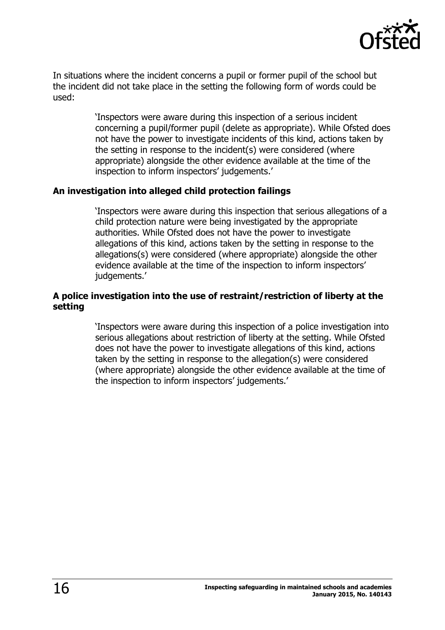

In situations where the incident concerns a pupil or former pupil of the school but the incident did not take place in the setting the following form of words could be used:

> 'Inspectors were aware during this inspection of a serious incident concerning a pupil/former pupil (delete as appropriate). While Ofsted does not have the power to investigate incidents of this kind, actions taken by the setting in response to the incident(s) were considered (where appropriate) alongside the other evidence available at the time of the inspection to inform inspectors' judgements.'

#### <span id="page-15-0"></span>**An investigation into alleged child protection failings**

'Inspectors were aware during this inspection that serious allegations of a child protection nature were being investigated by the appropriate authorities. While Ofsted does not have the power to investigate allegations of this kind, actions taken by the setting in response to the allegations(s) were considered (where appropriate) alongside the other evidence available at the time of the inspection to inform inspectors' judgements.'

#### <span id="page-15-1"></span>**A police investigation into the use of restraint/restriction of liberty at the setting**

'Inspectors were aware during this inspection of a police investigation into serious allegations about restriction of liberty at the setting. While Ofsted does not have the power to investigate allegations of this kind, actions taken by the setting in response to the allegation(s) were considered (where appropriate) alongside the other evidence available at the time of the inspection to inform inspectors' judgements.'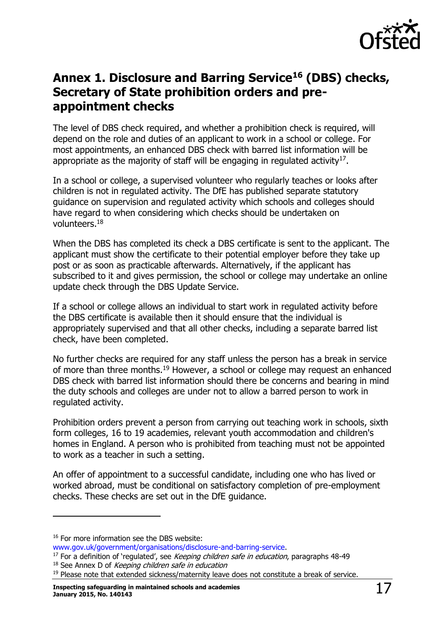

# <span id="page-16-0"></span>**Annex 1. Disclosure and Barring Service<sup>16</sup> (DBS) checks, Secretary of State prohibition orders and preappointment checks**

The level of DBS check required, and whether a prohibition check is required, will depend on the role and duties of an applicant to work in a school or college. For most appointments, an enhanced DBS check with barred list information will be appropriate as the majority of staff will be engaging in regulated activity<sup>17</sup>.

In a school or college, a supervised volunteer who regularly teaches or looks after children is not in regulated activity. The DfE has published separate statutory guidance on supervision and regulated activity which schools and colleges should have regard to when considering which checks should be undertaken on volunteers. 18

When the DBS has completed its check a DBS certificate is sent to the applicant. The applicant must show the certificate to their potential employer before they take up post or as soon as practicable afterwards. Alternatively, if the applicant has subscribed to it and gives permission, the school or college may undertake an online update check through the DBS Update Service.

If a school or college allows an individual to start work in regulated activity before the DBS certificate is available then it should ensure that the individual is appropriately supervised and that all other checks, including a separate barred list check, have been completed.

No further checks are required for any staff unless the person has a break in service of more than three months.<sup>19</sup> However, a school or college may request an enhanced DBS check with barred list information should there be concerns and bearing in mind the duty schools and colleges are under not to allow a barred person to work in regulated activity.

Prohibition orders prevent a person from carrying out teaching work in schools, sixth form colleges, 16 to 19 academies, relevant youth accommodation and children's homes in England. A person who is prohibited from teaching must not be appointed to work as a teacher in such a setting.

An offer of appointment to a successful candidate, including one who has lived or worked abroad, must be conditional on satisfactory completion of pre-employment checks. These checks are set out in the DfE guidance.

<sup>&</sup>lt;sup>16</sup> For more information see the DBS website:

[www.gov.uk/government/organisations/disclosure-and-barring-service.](http://www.gov.uk/government/organisations/disclosure-and-barring-service)

 $17$  For a definition of 'regulated', see Keeping children safe in education, paragraphs 48-49  $18$  See Annex D of *Keeping children safe in education* 

<sup>&</sup>lt;sup>19</sup> Please note that extended sickness/maternity leave does not constitute a break of service.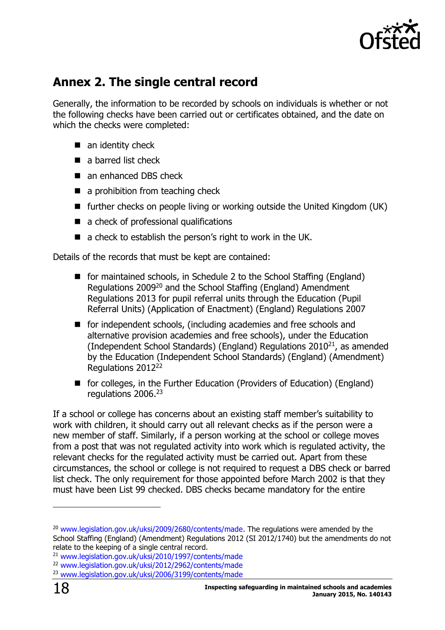

# <span id="page-17-0"></span>**Annex 2. The single central record**

Generally, the information to be recorded by schools on individuals is whether or not the following checks have been carried out or certificates obtained, and the date on which the checks were completed:

- $\blacksquare$  an identity check
- $\blacksquare$  a barred list check
- an enhanced DBS check
- **a** a prohibition from teaching check
- further checks on people living or working outside the United Kingdom (UK)
- a check of professional qualifications
- $\blacksquare$  a check to establish the person's right to work in the UK.

Details of the records that must be kept are contained:

- for maintained schools, in Schedule 2 to the School Staffing (England) Regulations 2009<sup>20</sup> and the School Staffing (England) Amendment Regulations 2013 for pupil referral units through the Education (Pupil Referral Units) (Application of Enactment) (England) Regulations 2007
- for independent schools, (including academies and free schools and alternative provision academies and free schools), under the Education (Independent School Standards) (England) Regulations  $2010^{21}$ , as amended by the Education (Independent School Standards) (England) (Amendment) Regulations 2012<sup>22</sup>
- for colleges, in the Further Education (Providers of Education) (England) regulations 2006. 23

If a school or college has concerns about an existing staff member's suitability to work with children, it should carry out all relevant checks as if the person were a new member of staff. Similarly, if a person working at the school or college moves from a post that was not regulated activity into work which is regulated activity, the relevant checks for the regulated activity must be carried out. Apart from these circumstances, the school or college is not required to request a DBS check or barred list check. The only requirement for those appointed before March 2002 is that they must have been List 99 checked. DBS checks became mandatory for the entire

<sup>&</sup>lt;sup>20</sup> [www.legislation.gov.uk/uksi/2009/2680/contents/made.](http://www.legislation.gov.uk/uksi/2009/2680/contents/made) The regulations were amended by the School Staffing (England) (Amendment) Regulations 2012 (SI 2012/1740) but the amendments do not relate to the keeping of a single central record.

<sup>21</sup> [www.legislation.gov.uk/uksi/2010/1997/contents/made](http://www.legislation.gov.uk/uksi/2010/1997/contents/made)

<sup>22</sup> [www.legislation.gov.uk/uksi/2012/2962/contents/made](http://www.legislation.gov.uk/uksi/2012/2962/contents/made)

<sup>23</sup> [www.legislation.gov.uk/uksi/2006/3199/contents/made](http://www.legislation.gov.uk/uksi/2006/3199/contents/made)